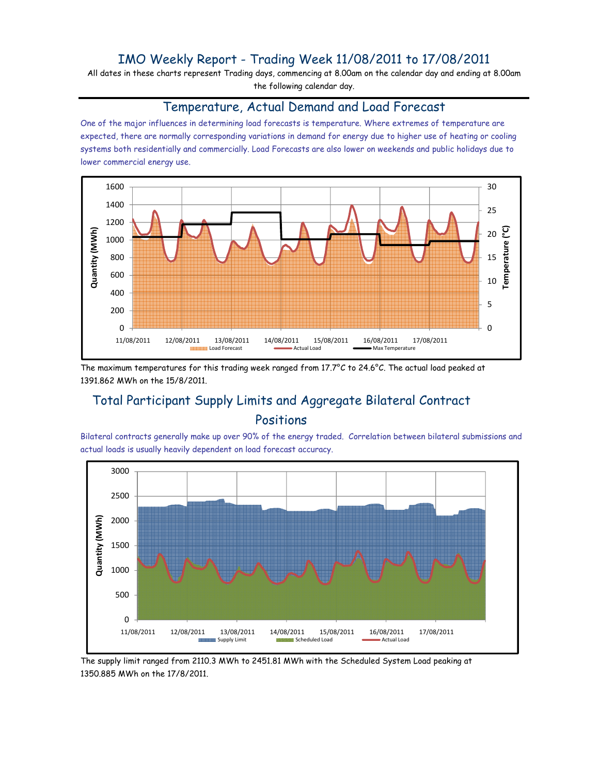### IMO Weekly Report - Trading Week 11/08/2011 to 17/08/2011

All dates in these charts represent Trading days, commencing at 8.00am on the calendar day and ending at 8.00am the following calendar day.

#### Temperature, Actual Demand and Load Forecast

One of the major influences in determining load forecasts is temperature. Where extremes of temperature are expected, there are normally corresponding variations in demand for energy due to higher use of heating or cooling systems both residentially and commercially. Load Forecasts are also lower on weekends and public holidays due to lower commercial energy use.



The maximum temperatures for this trading week ranged from 17.7°C to 24.6°C. The actual load peaked at 1391.862 MWh on the 15/8/2011.

# Total Participant Supply Limits and Aggregate Bilateral Contract Positions

Bilateral contracts generally make up over 90% of the energy traded. Correlation between bilateral submissions and actual loads is usually heavily dependent on load forecast accuracy.



The supply limit ranged from 2110.3 MWh to 2451.81 MWh with the Scheduled System Load peaking at 1350.885 MWh on the 17/8/2011.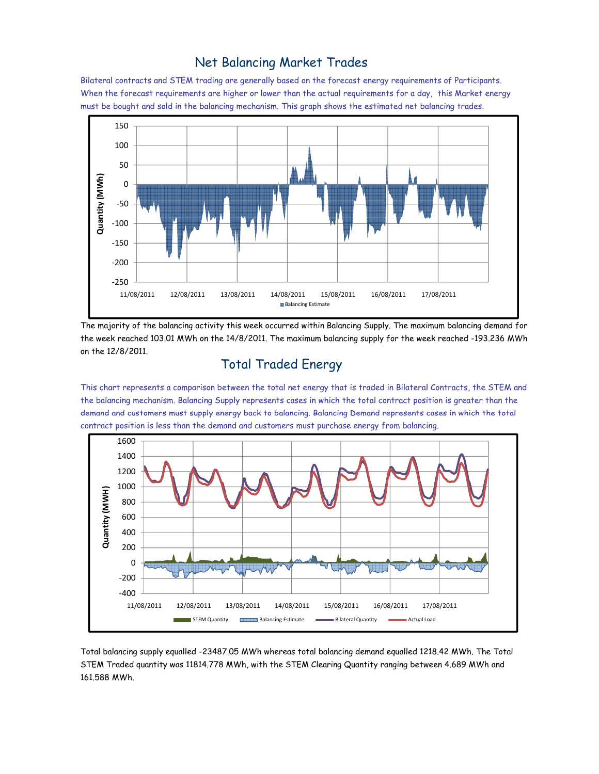#### Net Balancing Market Trades

Bilateral contracts and STEM trading are generally based on the forecast energy requirements of Participants. When the forecast requirements are higher or lower than the actual requirements for a day, this Market energy must be bought and sold in the balancing mechanism. This graph shows the estimated net balancing trades.



The majority of the balancing activity this week occurred within Balancing Supply. The maximum balancing demand for the week reached 103.01 MWh on the 14/8/2011. The maximum balancing supply for the week reached -193.236 MWh on the 12/8/2011.

# Total Traded Energy

This chart represents a comparison between the total net energy that is traded in Bilateral Contracts, the STEM and the balancing mechanism. Balancing Supply represents cases in which the total contract position is greater than the demand and customers must supply energy back to balancing. Balancing Demand represents cases in which the total contract position is less than the demand and customers must purchase energy from balancing.



Total balancing supply equalled -23487.05 MWh whereas total balancing demand equalled 1218.42 MWh. The Total STEM Traded quantity was 11814.778 MWh, with the STEM Clearing Quantity ranging between 4.689 MWh and 161.588 MWh.